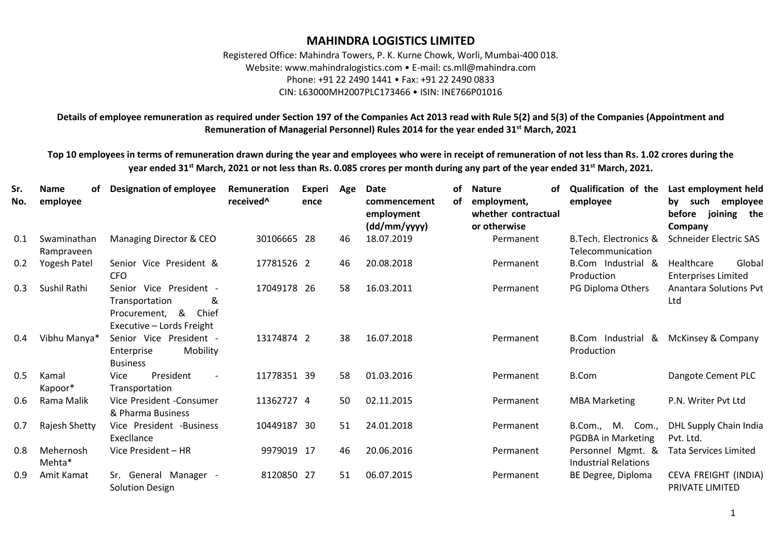## **MAHINDRA LOGISTICS LIMITED**

Registered Office: Mahindra Towers, P. K. Kurne Chowk, Worli, Mumbai-400 018. Website: www.mahindralogistics.com • E-mail: cs.mll@mahindra.com Phone: +91 22 2490 1441 • Fax: +91 22 2490 0833 CIN: L63000MH2007PLC173466 • ISIN: INE766P01016

**Details of employee remuneration as required under Section 197 of the Companies Act 2013 read with Rule 5(2) and 5(3) of the Companies (Appointment and Remuneration of Managerial Personnel) Rules 2014 for the year ended 31st March, 2021**

**Top 10 employees in terms of remuneration drawn during the year and employees who were in receipt of remuneration of not less than Rs. 1.02 crores during the year ended 31st March, 2021 or not less than Rs. 0.085 crores per month during any part of the year ended 31st March, 2021.**

| Sr.<br>No. | <b>Name</b><br>of<br>employee | <b>Designation of employee</b>                                                                         | Remuneration<br>received <sup>^</sup> | <b>Experi</b><br>ence | Age | <b>Date</b><br>commencement<br>employment<br>(dd/mm/yyyy) | οf<br>of | <b>Nature</b><br>οf<br>employment,<br>whether contractual<br>or otherwise | <b>Qualification of the</b><br>employee          | Last employment held<br>by such<br>employee<br>before joining the<br>Company |
|------------|-------------------------------|--------------------------------------------------------------------------------------------------------|---------------------------------------|-----------------------|-----|-----------------------------------------------------------|----------|---------------------------------------------------------------------------|--------------------------------------------------|------------------------------------------------------------------------------|
| 0.1        | Swaminathan<br>Rampraveen     | Managing Director & CEO                                                                                | 30106665 28                           |                       | 46  | 18.07.2019                                                |          | Permanent                                                                 | B. Tech. Electronics &<br>Telecommunication      | Schneider Electric SAS                                                       |
| 0.2        | Yogesh Patel                  | Senior Vice President &<br><b>CFO</b>                                                                  | 17781526 2                            |                       | 46  | 20.08.2018                                                |          | Permanent                                                                 | B.Com Industrial &<br>Production                 | Healthcare<br>Global<br><b>Enterprises Limited</b>                           |
| 0.3        | Sushil Rathi                  | Senior Vice President -<br>&<br>Transportation<br>Procurement, &<br>Chief<br>Executive - Lords Freight | 17049178 26                           |                       | 58  | 16.03.2011                                                |          | Permanent                                                                 | PG Diploma Others                                | <b>Anantara Solutions Pvt</b><br>Ltd                                         |
| 0.4        | Vibhu Manya*                  | Senior Vice President -<br>Mobility<br>Enterprise<br><b>Business</b>                                   | 13174874 2                            |                       | 38  | 16.07.2018                                                |          | Permanent                                                                 | B.Com Industrial &<br>Production                 | McKinsey & Company                                                           |
| 0.5        | Kamal<br>Kapoor*              | President<br>Vice<br>$\overline{\phantom{a}}$<br>Transportation                                        | 11778351 39                           |                       | 58  | 01.03.2016                                                |          | Permanent                                                                 | <b>B.Com</b>                                     | Dangote Cement PLC                                                           |
| 0.6        | Rama Malik                    | Vice President -Consumer<br>& Pharma Business                                                          | 11362727 4                            |                       | 50  | 02.11.2015                                                |          | Permanent                                                                 | <b>MBA Marketing</b>                             | P.N. Writer Pvt Ltd                                                          |
| 0.7        | Rajesh Shetty                 | Vice President -Business<br>Execllance                                                                 | 10449187 30                           |                       | 51  | 24.01.2018                                                |          | Permanent                                                                 | B.Com., M. Com.,<br>PGDBA in Marketing           | DHL Supply Chain India<br>Pvt. Ltd.                                          |
| 0.8        | Mehernosh<br>Mehta*           | Vice President - HR                                                                                    | 9979019 17                            |                       | 46  | 20.06.2016                                                |          | Permanent                                                                 | Personnel Mgmt. &<br><b>Industrial Relations</b> | <b>Tata Services Limited</b>                                                 |
| 0.9        | Amit Kamat                    | Sr. General Manager -<br><b>Solution Design</b>                                                        | 8120850 27                            |                       | 51  | 06.07.2015                                                |          | Permanent                                                                 | BE Degree, Diploma                               | CEVA FREIGHT (INDIA)<br>PRIVATE LIMITED                                      |